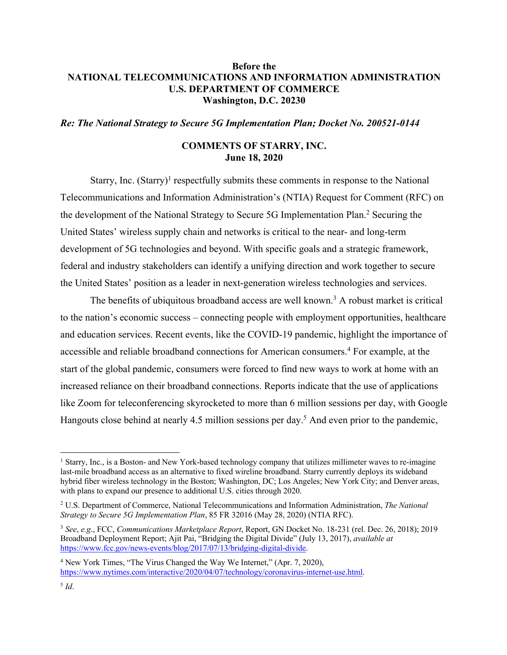# **Before the NATIONAL TELECOMMUNICATIONS AND INFORMATION ADMINISTRATION U.S. DEPARTMENT OF COMMERCE Washington, D.C. 20230**

*Re: The National Strategy to Secure 5G Implementation Plan; Docket No. 200521-0144*

#### **COMMENTS OF STARRY, INC. June 18, 2020**

Starry, Inc.  $(Starry)^1$  respectfully submits these comments in response to the National Telecommunications and Information Administration's (NTIA) Request for Comment (RFC) on the development of the National Strategy to Secure 5G Implementation Plan. <sup>2</sup> Securing the United States' wireless supply chain and networks is critical to the near- and long-term development of 5G technologies and beyond. With specific goals and a strategic framework, federal and industry stakeholders can identify a unifying direction and work together to secure the United States' position as a leader in next-generation wireless technologies and services.

The benefits of ubiquitous broadband access are well known.<sup>3</sup> A robust market is critical to the nation's economic success – connecting people with employment opportunities, healthcare and education services. Recent events, like the COVID-19 pandemic, highlight the importance of accessible and reliable broadband connections for American consumers.4 For example, at the start of the global pandemic, consumers were forced to find new ways to work at home with an increased reliance on their broadband connections. Reports indicate that the use of applications like Zoom for teleconferencing skyrocketed to more than 6 million sessions per day, with Google Hangouts close behind at nearly 4.5 million sessions per day.<sup>5</sup> And even prior to the pandemic,

<sup>&</sup>lt;sup>1</sup> Starry, Inc., is a Boston- and New York-based technology company that utilizes millimeter waves to re-imagine last-mile broadband access as an alternative to fixed wireline broadband. Starry currently deploys its wideband hybrid fiber wireless technology in the Boston; Washington, DC; Los Angeles; New York City; and Denver areas, with plans to expand our presence to additional U.S. cities through 2020.

<sup>2</sup> U.S. Department of Commerce, National Telecommunications and Information Administration, *The National Strategy to Secure 5G Implementation Plan*, 85 FR 32016 (May 28, 2020) (NTIA RFC).

<sup>3</sup> *See*, *e.g*., FCC, *Communications Marketplace Report*, Report, GN Docket No. 18-231 (rel. Dec. 26, 2018); 2019 Broadband Deployment Report; Ajit Pai, "Bridging the Digital Divide" (July 13, 2017), *available at* https://www.fcc.gov/news-events/blog/2017/07/13/bridging-digital-divide.

<sup>4</sup> New York Times, "The Virus Changed the Way We Internet," (Apr. 7, 2020), https://www.nytimes.com/interactive/2020/04/07/technology/coronavirus-internet-use.html.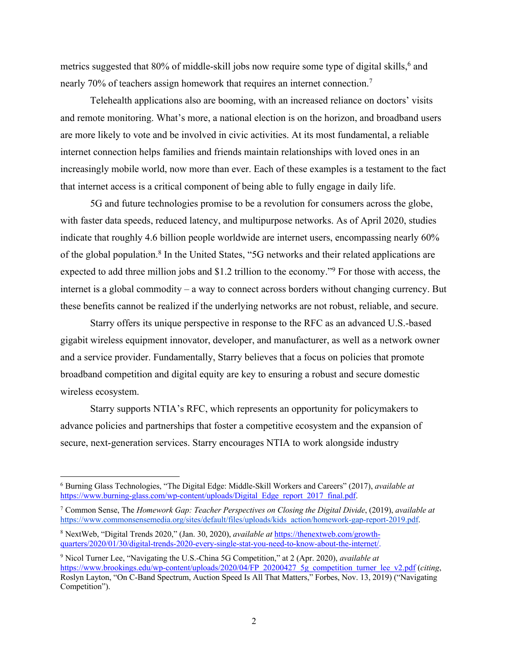metrics suggested that 80% of middle-skill jobs now require some type of digital skills,<sup>6</sup> and nearly 70% of teachers assign homework that requires an internet connection.7

Telehealth applications also are booming, with an increased reliance on doctors' visits and remote monitoring. What's more, a national election is on the horizon, and broadband users are more likely to vote and be involved in civic activities. At its most fundamental, a reliable internet connection helps families and friends maintain relationships with loved ones in an increasingly mobile world, now more than ever. Each of these examples is a testament to the fact that internet access is a critical component of being able to fully engage in daily life.

5G and future technologies promise to be a revolution for consumers across the globe, with faster data speeds, reduced latency, and multipurpose networks. As of April 2020, studies indicate that roughly 4.6 billion people worldwide are internet users, encompassing nearly 60% of the global population.<sup>8</sup> In the United States, "5G networks and their related applications are expected to add three million jobs and \$1.2 trillion to the economy."9 For those with access, the internet is a global commodity – a way to connect across borders without changing currency. But these benefits cannot be realized if the underlying networks are not robust, reliable, and secure.

Starry offers its unique perspective in response to the RFC as an advanced U.S.-based gigabit wireless equipment innovator, developer, and manufacturer, as well as a network owner and a service provider. Fundamentally, Starry believes that a focus on policies that promote broadband competition and digital equity are key to ensuring a robust and secure domestic wireless ecosystem.

Starry supports NTIA's RFC, which represents an opportunity for policymakers to advance policies and partnerships that foster a competitive ecosystem and the expansion of secure, next-generation services. Starry encourages NTIA to work alongside industry

<sup>6</sup> Burning Glass Technologies, "The Digital Edge: Middle-Skill Workers and Careers" (2017), *available at*  https://www.burning-glass.com/wp-content/uploads/Digital\_Edge\_report\_2017\_final.pdf.

<sup>7</sup> Common Sense, The *Homework Gap: Teacher Perspectives on Closing the Digital Divide*, (2019), *available at*  https://www.commonsensemedia.org/sites/default/files/uploads/kids\_action/homework-gap-report-2019.pdf.

<sup>8</sup> NextWeb, "Digital Trends 2020," (Jan. 30, 2020), *available at* https://thenextweb.com/growthquarters/2020/01/30/digital-trends-2020-every-single-stat-you-need-to-know-about-the-internet/.

<sup>9</sup> Nicol Turner Lee, "Navigating the U.S.-China 5G Competition," at 2 (Apr. 2020), *available at*  https://www.brookings.edu/wp-content/uploads/2020/04/FP\_20200427\_5g\_competition\_turner\_lee\_v2.pdf (*citing*, Roslyn Layton, "On C-Band Spectrum, Auction Speed Is All That Matters," Forbes, Nov. 13, 2019) ("Navigating Competition").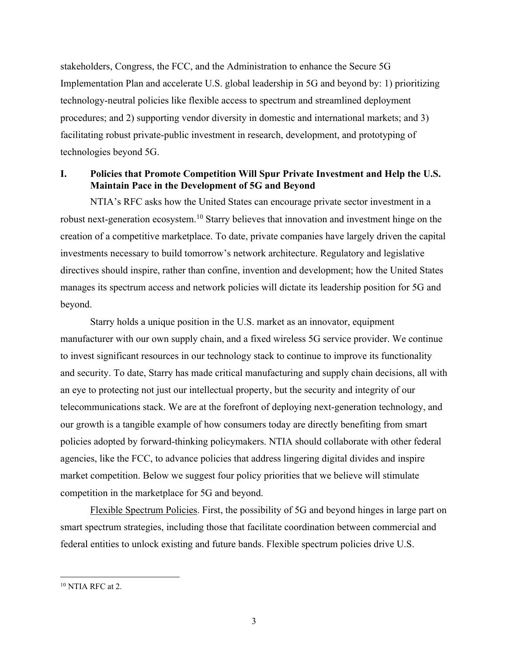stakeholders, Congress, the FCC, and the Administration to enhance the Secure 5G Implementation Plan and accelerate U.S. global leadership in 5G and beyond by: 1) prioritizing technology-neutral policies like flexible access to spectrum and streamlined deployment procedures; and 2) supporting vendor diversity in domestic and international markets; and 3) facilitating robust private-public investment in research, development, and prototyping of technologies beyond 5G.

# **I. Policies that Promote Competition Will Spur Private Investment and Help the U.S. Maintain Pace in the Development of 5G and Beyond**

NTIA's RFC asks how the United States can encourage private sector investment in a robust next-generation ecosystem.<sup>10</sup> Starry believes that innovation and investment hinge on the creation of a competitive marketplace. To date, private companies have largely driven the capital investments necessary to build tomorrow's network architecture. Regulatory and legislative directives should inspire, rather than confine, invention and development; how the United States manages its spectrum access and network policies will dictate its leadership position for 5G and beyond.

Starry holds a unique position in the U.S. market as an innovator, equipment manufacturer with our own supply chain, and a fixed wireless 5G service provider. We continue to invest significant resources in our technology stack to continue to improve its functionality and security. To date, Starry has made critical manufacturing and supply chain decisions, all with an eye to protecting not just our intellectual property, but the security and integrity of our telecommunications stack. We are at the forefront of deploying next-generation technology, and our growth is a tangible example of how consumers today are directly benefiting from smart policies adopted by forward-thinking policymakers. NTIA should collaborate with other federal agencies, like the FCC, to advance policies that address lingering digital divides and inspire market competition. Below we suggest four policy priorities that we believe will stimulate competition in the marketplace for 5G and beyond.

Flexible Spectrum Policies. First, the possibility of 5G and beyond hinges in large part on smart spectrum strategies, including those that facilitate coordination between commercial and federal entities to unlock existing and future bands. Flexible spectrum policies drive U.S.

 $10$  NTIA RFC at 2.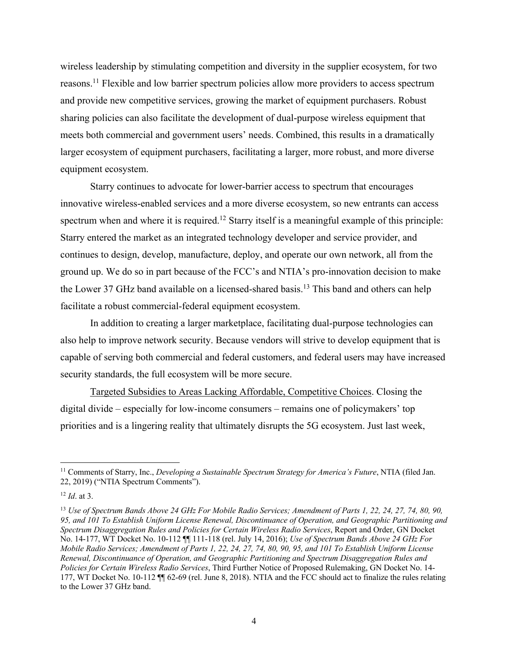wireless leadership by stimulating competition and diversity in the supplier ecosystem, for two reasons.<sup>11</sup> Flexible and low barrier spectrum policies allow more providers to access spectrum and provide new competitive services, growing the market of equipment purchasers. Robust sharing policies can also facilitate the development of dual-purpose wireless equipment that meets both commercial and government users' needs. Combined, this results in a dramatically larger ecosystem of equipment purchasers, facilitating a larger, more robust, and more diverse equipment ecosystem.

Starry continues to advocate for lower-barrier access to spectrum that encourages innovative wireless-enabled services and a more diverse ecosystem, so new entrants can access spectrum when and where it is required.<sup>12</sup> Starry itself is a meaningful example of this principle: Starry entered the market as an integrated technology developer and service provider, and continues to design, develop, manufacture, deploy, and operate our own network, all from the ground up. We do so in part because of the FCC's and NTIA's pro-innovation decision to make the Lower 37 GHz band available on a licensed-shared basis.<sup>13</sup> This band and others can help facilitate a robust commercial-federal equipment ecosystem.

In addition to creating a larger marketplace, facilitating dual-purpose technologies can also help to improve network security. Because vendors will strive to develop equipment that is capable of serving both commercial and federal customers, and federal users may have increased security standards, the full ecosystem will be more secure.

Targeted Subsidies to Areas Lacking Affordable, Competitive Choices. Closing the digital divide – especially for low-income consumers – remains one of policymakers' top priorities and is a lingering reality that ultimately disrupts the 5G ecosystem. Just last week,

<sup>&</sup>lt;sup>11</sup> Comments of Starry, Inc., *Developing a Sustainable Spectrum Strategy for America's Future*, NTIA (filed Jan. 22, 2019) ("NTIA Spectrum Comments").

<sup>12</sup> *Id*. at 3.

<sup>13</sup> *Use of Spectrum Bands Above 24 GHz For Mobile Radio Services; Amendment of Parts 1, 22, 24, 27, 74, 80, 90, 95, and 101 To Establish Uniform License Renewal, Discontinuance of Operation, and Geographic Partitioning and Spectrum Disaggregation Rules and Policies for Certain Wireless Radio Services*, Report and Order, GN Docket No. 14-177, WT Docket No. 10-112 ¶¶ 111-118 (rel. July 14, 2016); *Use of Spectrum Bands Above 24 GHz For Mobile Radio Services; Amendment of Parts 1, 22, 24, 27, 74, 80, 90, 95, and 101 To Establish Uniform License Renewal, Discontinuance of Operation, and Geographic Partitioning and Spectrum Disaggregation Rules and Policies for Certain Wireless Radio Services*, Third Further Notice of Proposed Rulemaking, GN Docket No. 14- 177, WT Docket No. 10-112 ¶¶ 62-69 (rel. June 8, 2018). NTIA and the FCC should act to finalize the rules relating to the Lower 37 GHz band.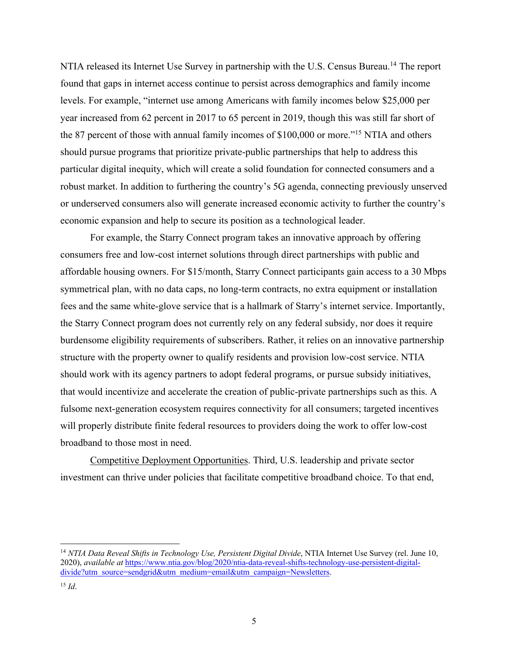NTIA released its Internet Use Survey in partnership with the U.S. Census Bureau.<sup>14</sup> The report found that gaps in internet access continue to persist across demographics and family income levels. For example, "internet use among Americans with family incomes below \$25,000 per year increased from 62 percent in 2017 to 65 percent in 2019, though this was still far short of the 87 percent of those with annual family incomes of \$100,000 or more."15 NTIA and others should pursue programs that prioritize private-public partnerships that help to address this particular digital inequity, which will create a solid foundation for connected consumers and a robust market. In addition to furthering the country's 5G agenda, connecting previously unserved or underserved consumers also will generate increased economic activity to further the country's economic expansion and help to secure its position as a technological leader.

For example, the Starry Connect program takes an innovative approach by offering consumers free and low-cost internet solutions through direct partnerships with public and affordable housing owners. For \$15/month, Starry Connect participants gain access to a 30 Mbps symmetrical plan, with no data caps, no long-term contracts, no extra equipment or installation fees and the same white-glove service that is a hallmark of Starry's internet service. Importantly, the Starry Connect program does not currently rely on any federal subsidy, nor does it require burdensome eligibility requirements of subscribers. Rather, it relies on an innovative partnership structure with the property owner to qualify residents and provision low-cost service. NTIA should work with its agency partners to adopt federal programs, or pursue subsidy initiatives, that would incentivize and accelerate the creation of public-private partnerships such as this. A fulsome next-generation ecosystem requires connectivity for all consumers; targeted incentives will properly distribute finite federal resources to providers doing the work to offer low-cost broadband to those most in need.

Competitive Deployment Opportunities. Third, U.S. leadership and private sector investment can thrive under policies that facilitate competitive broadband choice. To that end,

<sup>14</sup> *NTIA Data Reveal Shifts in Technology Use, Persistent Digital Divide*, NTIA Internet Use Survey (rel. June 10, 2020), *available at* https://www.ntia.gov/blog/2020/ntia-data-reveal-shifts-technology-use-persistent-digitaldivide?utm\_source=sendgrid&utm\_medium=email&utm\_campaign=Newsletters.

 $^{15}$  *Id.*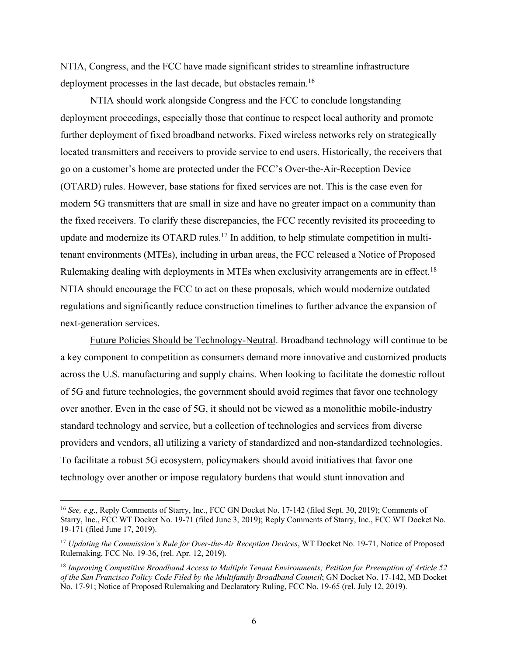NTIA, Congress, and the FCC have made significant strides to streamline infrastructure deployment processes in the last decade, but obstacles remain.<sup>16</sup>

NTIA should work alongside Congress and the FCC to conclude longstanding deployment proceedings, especially those that continue to respect local authority and promote further deployment of fixed broadband networks. Fixed wireless networks rely on strategically located transmitters and receivers to provide service to end users. Historically, the receivers that go on a customer's home are protected under the FCC's Over-the-Air-Reception Device (OTARD) rules. However, base stations for fixed services are not. This is the case even for modern 5G transmitters that are small in size and have no greater impact on a community than the fixed receivers. To clarify these discrepancies, the FCC recently revisited its proceeding to update and modernize its OTARD rules.<sup>17</sup> In addition, to help stimulate competition in multitenant environments (MTEs), including in urban areas, the FCC released a Notice of Proposed Rulemaking dealing with deployments in MTEs when exclusivity arrangements are in effect.<sup>18</sup> NTIA should encourage the FCC to act on these proposals, which would modernize outdated regulations and significantly reduce construction timelines to further advance the expansion of next-generation services.

Future Policies Should be Technology-Neutral. Broadband technology will continue to be a key component to competition as consumers demand more innovative and customized products across the U.S. manufacturing and supply chains. When looking to facilitate the domestic rollout of 5G and future technologies, the government should avoid regimes that favor one technology over another. Even in the case of 5G, it should not be viewed as a monolithic mobile-industry standard technology and service, but a collection of technologies and services from diverse providers and vendors, all utilizing a variety of standardized and non-standardized technologies. To facilitate a robust 5G ecosystem, policymakers should avoid initiatives that favor one technology over another or impose regulatory burdens that would stunt innovation and

<sup>&</sup>lt;sup>16</sup> *See, e.g.*, Reply Comments of Starry, Inc., FCC GN Docket No. 17-142 (filed Sept. 30, 2019); Comments of Starry, Inc., FCC WT Docket No. 19-71 (filed June 3, 2019); Reply Comments of Starry, Inc., FCC WT Docket No. 19-171 (filed June 17, 2019).

<sup>&</sup>lt;sup>17</sup> Updating the Commission's Rule for Over-the-Air Reception Devices, WT Docket No. 19-71, Notice of Proposed Rulemaking, FCC No. 19-36, (rel. Apr. 12, 2019).

<sup>18</sup> *Improving Competitive Broadband Access to Multiple Tenant Environments; Petition for Preemption of Article 52 of the San Francisco Policy Code Filed by the Multifamily Broadband Council*; GN Docket No. 17-142, MB Docket No. 17-91; Notice of Proposed Rulemaking and Declaratory Ruling, FCC No. 19-65 (rel. July 12, 2019).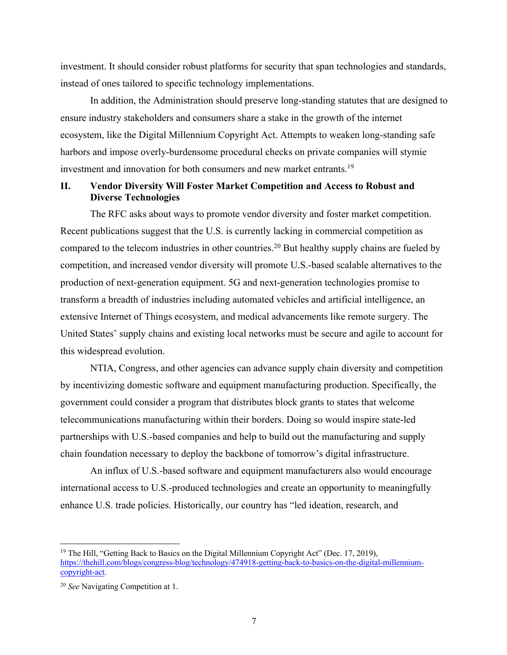investment. It should consider robust platforms for security that span technologies and standards, instead of ones tailored to specific technology implementations.

In addition, the Administration should preserve long-standing statutes that are designed to ensure industry stakeholders and consumers share a stake in the growth of the internet ecosystem, like the Digital Millennium Copyright Act. Attempts to weaken long-standing safe harbors and impose overly-burdensome procedural checks on private companies will stymie investment and innovation for both consumers and new market entrants. 19

### **II. Vendor Diversity Will Foster Market Competition and Access to Robust and Diverse Technologies**

The RFC asks about ways to promote vendor diversity and foster market competition. Recent publications suggest that the U.S. is currently lacking in commercial competition as compared to the telecom industries in other countries.<sup>20</sup> But healthy supply chains are fueled by competition, and increased vendor diversity will promote U.S.-based scalable alternatives to the production of next-generation equipment. 5G and next-generation technologies promise to transform a breadth of industries including automated vehicles and artificial intelligence, an extensive Internet of Things ecosystem, and medical advancements like remote surgery. The United States' supply chains and existing local networks must be secure and agile to account for this widespread evolution.

NTIA, Congress, and other agencies can advance supply chain diversity and competition by incentivizing domestic software and equipment manufacturing production. Specifically, the government could consider a program that distributes block grants to states that welcome telecommunications manufacturing within their borders. Doing so would inspire state-led partnerships with U.S.-based companies and help to build out the manufacturing and supply chain foundation necessary to deploy the backbone of tomorrow's digital infrastructure.

An influx of U.S.-based software and equipment manufacturers also would encourage international access to U.S.-produced technologies and create an opportunity to meaningfully enhance U.S. trade policies. Historically, our country has "led ideation, research, and

<sup>&</sup>lt;sup>19</sup> The Hill, "Getting Back to Basics on the Digital Millennium Copyright Act" (Dec. 17, 2019), https://thehill.com/blogs/congress-blog/technology/474918-getting-back-to-basics-on-the-digital-millenniumcopyright-act.

<sup>20</sup> *See* Navigating Competition at 1.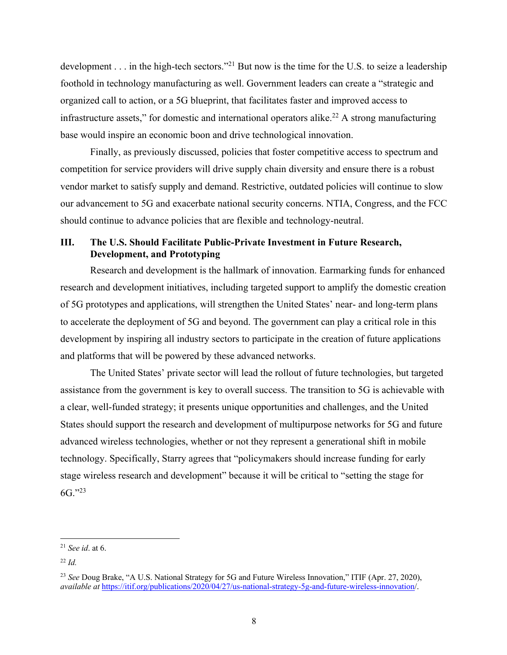development . . . in the high-tech sectors."<sup>21</sup> But now is the time for the U.S. to seize a leadership foothold in technology manufacturing as well. Government leaders can create a "strategic and organized call to action, or a 5G blueprint, that facilitates faster and improved access to infrastructure assets," for domestic and international operators alike. <sup>22</sup> A strong manufacturing base would inspire an economic boon and drive technological innovation.

Finally, as previously discussed, policies that foster competitive access to spectrum and competition for service providers will drive supply chain diversity and ensure there is a robust vendor market to satisfy supply and demand. Restrictive, outdated policies will continue to slow our advancement to 5G and exacerbate national security concerns. NTIA, Congress, and the FCC should continue to advance policies that are flexible and technology-neutral.

# **III. The U.S. Should Facilitate Public-Private Investment in Future Research, Development, and Prototyping**

Research and development is the hallmark of innovation. Earmarking funds for enhanced research and development initiatives, including targeted support to amplify the domestic creation of 5G prototypes and applications, will strengthen the United States' near- and long-term plans to accelerate the deployment of 5G and beyond. The government can play a critical role in this development by inspiring all industry sectors to participate in the creation of future applications and platforms that will be powered by these advanced networks.

The United States' private sector will lead the rollout of future technologies, but targeted assistance from the government is key to overall success. The transition to 5G is achievable with a clear, well-funded strategy; it presents unique opportunities and challenges, and the United States should support the research and development of multipurpose networks for 5G and future advanced wireless technologies, whether or not they represent a generational shift in mobile technology. Specifically, Starry agrees that "policymakers should increase funding for early stage wireless research and development" because it will be critical to "setting the stage for  $6G.$ "23

<sup>21</sup> *See id*. at 6.

 $22$  *Id.* 

<sup>23</sup> *See* Doug Brake, "A U.S. National Strategy for 5G and Future Wireless Innovation," ITIF (Apr. 27, 2020), *available at* https://itif.org/publications/2020/04/27/us-national-strategy-5g-and-future-wireless-innovation/.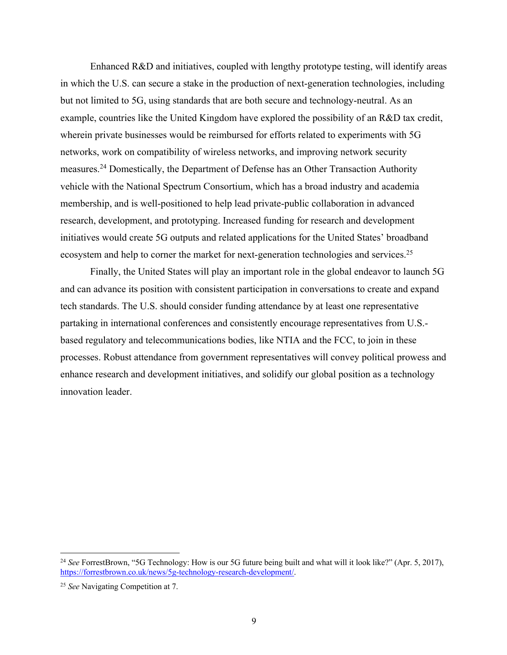Enhanced R&D and initiatives, coupled with lengthy prototype testing, will identify areas in which the U.S. can secure a stake in the production of next-generation technologies, including but not limited to 5G, using standards that are both secure and technology-neutral. As an example, countries like the United Kingdom have explored the possibility of an R&D tax credit, wherein private businesses would be reimbursed for efforts related to experiments with 5G networks, work on compatibility of wireless networks, and improving network security measures.24 Domestically, the Department of Defense has an Other Transaction Authority vehicle with the National Spectrum Consortium, which has a broad industry and academia membership, and is well-positioned to help lead private-public collaboration in advanced research, development, and prototyping. Increased funding for research and development initiatives would create 5G outputs and related applications for the United States' broadband ecosystem and help to corner the market for next-generation technologies and services.<sup>25</sup>

Finally, the United States will play an important role in the global endeavor to launch 5G and can advance its position with consistent participation in conversations to create and expand tech standards. The U.S. should consider funding attendance by at least one representative partaking in international conferences and consistently encourage representatives from U.S. based regulatory and telecommunications bodies, like NTIA and the FCC, to join in these processes. Robust attendance from government representatives will convey political prowess and enhance research and development initiatives, and solidify our global position as a technology innovation leader.

<sup>&</sup>lt;sup>24</sup> See ForrestBrown, "5G Technology: How is our 5G future being built and what will it look like?" (Apr. 5, 2017), https://forrestbrown.co.uk/news/5g-technology-research-development/.

<sup>25</sup> *See* Navigating Competition at 7.